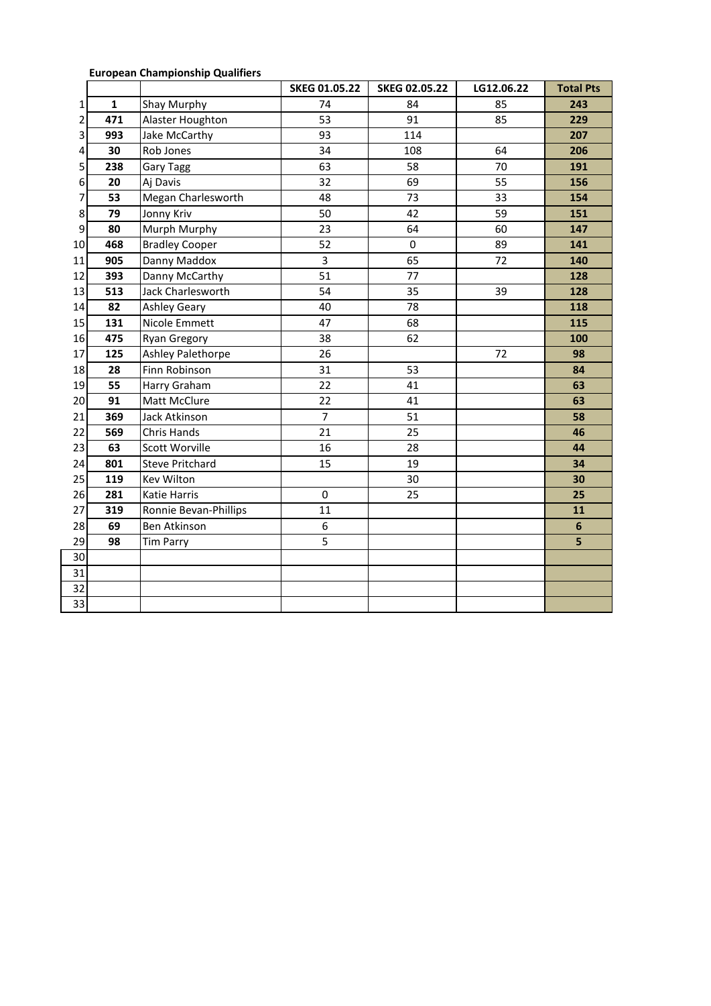|  | <b>European Championship Qualifiers</b> |  |
|--|-----------------------------------------|--|
|--|-----------------------------------------|--|

|                 |              |                        | SKEG 01.05.22  | <b>SKEG 02.05.22</b> | LG12.06.22 | <b>Total Pts</b> |
|-----------------|--------------|------------------------|----------------|----------------------|------------|------------------|
| 1               | $\mathbf{1}$ | Shay Murphy            | 74             | 84                   | 85         | 243              |
| 2               | 471          | Alaster Houghton       | 53             | 91                   | 85         | 229              |
| 3               | 993          | Jake McCarthy          | 93             | 114                  |            | 207              |
| 4               | 30           | Rob Jones              | 34             | 108                  | 64         | 206              |
| 5               | 238          | Gary Tagg              | 63             | 58                   | 70         | 191              |
| 6               | 20           | Aj Davis               | 32             | 69                   | 55         | 156              |
| 7               | 53           | Megan Charlesworth     | 48             | 73                   | 33         | 154              |
| 8               | 79           | Jonny Kriv             | 50             | 42                   | 59         | 151              |
| 9               | 80           | Murph Murphy           | 23             | 64                   | 60         | 147              |
| 10              | 468          | <b>Bradley Cooper</b>  | 52             | $\pmb{0}$            | 89         | 141              |
| 11              | 905          | Danny Maddox           | 3              | 65                   | 72         | 140              |
| 12              | 393          | Danny McCarthy         | 51             | 77                   |            | 128              |
| 13              | 513          | Jack Charlesworth      | 54             | 35                   | 39         | 128              |
| 14              | 82           | <b>Ashley Geary</b>    | 40             | 78                   |            | 118              |
| 15              | 131          | Nicole Emmett          | 47             | 68                   |            | 115              |
| 16              | 475          | <b>Ryan Gregory</b>    | 38             | 62                   |            | 100              |
| 17              | 125          | Ashley Palethorpe      | 26             |                      | 72         | 98               |
| 18              | 28           | Finn Robinson          | 31             | 53                   |            | 84               |
| 19              | 55           | Harry Graham           | 22             | 41                   |            | 63               |
| 20              | 91           | Matt McClure           | 22             | 41                   |            | 63               |
| 21              | 369          | Jack Atkinson          | 7              | 51                   |            | 58               |
| 22              | 569          | Chris Hands            | 21             | 25                   |            | 46               |
| 23              | 63           | Scott Worville         | 16             | 28                   |            | 44               |
| 24              | 801          | <b>Steve Pritchard</b> | 15             | 19                   |            | 34               |
| 25              | 119          | <b>Kev Wilton</b>      |                | 30                   |            | 30               |
| 26              | 281          | Katie Harris           | $\pmb{0}$      | 25                   |            | 25               |
| 27              | 319          | Ronnie Bevan-Phillips  | 11             |                      |            | 11               |
| 28              | 69           | Ben Atkinson           | $\overline{6}$ |                      |            | $6\phantom{1}$   |
| 29              | 98           | <b>Tim Parry</b>       | $\overline{5}$ |                      |            | 5                |
| 30              |              |                        |                |                      |            |                  |
| 31              |              |                        |                |                      |            |                  |
| $\overline{32}$ |              |                        |                |                      |            |                  |
| $\overline{33}$ |              |                        |                |                      |            |                  |